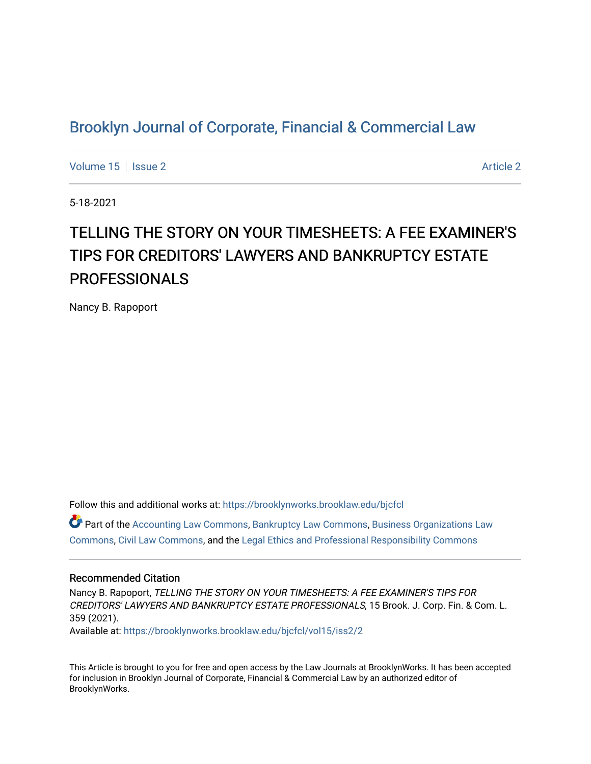## [Brooklyn Journal of Corporate, Financial & Commercial Law](https://brooklynworks.brooklaw.edu/bjcfcl)

[Volume 15](https://brooklynworks.brooklaw.edu/bjcfcl/vol15) Setsue 2 [Article 2](https://brooklynworks.brooklaw.edu/bjcfcl/vol15/iss2/2) Article 2 Article 2 Article 2 Article 2 Article 2 Article 2

5-18-2021

# TELLING THE STORY ON YOUR TIMESHEETS: A FEE EXAMINER'S TIPS FOR CREDITORS' LAWYERS AND BANKRUPTCY ESTATE PROFESSIONALS

Nancy B. Rapoport

Follow this and additional works at: [https://brooklynworks.brooklaw.edu/bjcfcl](https://brooklynworks.brooklaw.edu/bjcfcl?utm_source=brooklynworks.brooklaw.edu%2Fbjcfcl%2Fvol15%2Fiss2%2F2&utm_medium=PDF&utm_campaign=PDFCoverPages)

Part of the [Accounting Law Commons](http://network.bepress.com/hgg/discipline/828?utm_source=brooklynworks.brooklaw.edu%2Fbjcfcl%2Fvol15%2Fiss2%2F2&utm_medium=PDF&utm_campaign=PDFCoverPages), [Bankruptcy Law Commons](http://network.bepress.com/hgg/discipline/583?utm_source=brooklynworks.brooklaw.edu%2Fbjcfcl%2Fvol15%2Fiss2%2F2&utm_medium=PDF&utm_campaign=PDFCoverPages), [Business Organizations Law](http://network.bepress.com/hgg/discipline/900?utm_source=brooklynworks.brooklaw.edu%2Fbjcfcl%2Fvol15%2Fiss2%2F2&utm_medium=PDF&utm_campaign=PDFCoverPages)  [Commons](http://network.bepress.com/hgg/discipline/900?utm_source=brooklynworks.brooklaw.edu%2Fbjcfcl%2Fvol15%2Fiss2%2F2&utm_medium=PDF&utm_campaign=PDFCoverPages), [Civil Law Commons,](http://network.bepress.com/hgg/discipline/835?utm_source=brooklynworks.brooklaw.edu%2Fbjcfcl%2Fvol15%2Fiss2%2F2&utm_medium=PDF&utm_campaign=PDFCoverPages) and the [Legal Ethics and Professional Responsibility Commons](http://network.bepress.com/hgg/discipline/895?utm_source=brooklynworks.brooklaw.edu%2Fbjcfcl%2Fvol15%2Fiss2%2F2&utm_medium=PDF&utm_campaign=PDFCoverPages) 

## Recommended Citation

Nancy B. Rapoport, TELLING THE STORY ON YOUR TIMESHEETS: A FEE EXAMINER'S TIPS FOR CREDITORS' LAWYERS AND BANKRUPTCY ESTATE PROFESSIONALS, 15 Brook. J. Corp. Fin. & Com. L. 359 (2021).

Available at: [https://brooklynworks.brooklaw.edu/bjcfcl/vol15/iss2/2](https://brooklynworks.brooklaw.edu/bjcfcl/vol15/iss2/2?utm_source=brooklynworks.brooklaw.edu%2Fbjcfcl%2Fvol15%2Fiss2%2F2&utm_medium=PDF&utm_campaign=PDFCoverPages)

This Article is brought to you for free and open access by the Law Journals at BrooklynWorks. It has been accepted for inclusion in Brooklyn Journal of Corporate, Financial & Commercial Law by an authorized editor of BrooklynWorks.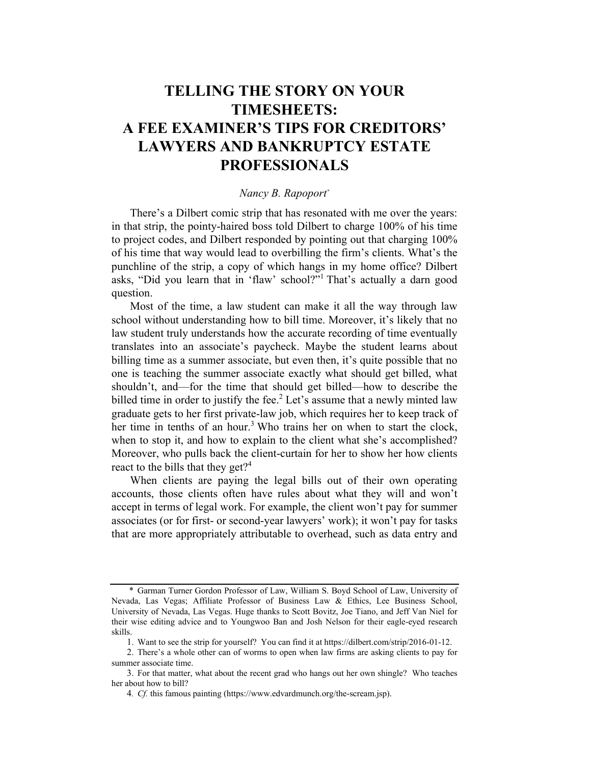## TELLING THE STORY ON YOUR TIMESHEETS: A FEE EXAMINER'S TIPS FOR CREDITORS' LAWYERS AND BANKRUPTCY ESTATE PROFESSIONALS

## Nancy B. Rapoport\*

There's a Dilbert comic strip that has resonated with me over the years: in that strip, the pointy-haired boss told Dilbert to charge 100% of his time to project codes, and Dilbert responded by pointing out that charging 100% of his time that way would lead to overbilling the firm's clients. What's the punchline of the strip, a copy of which hangs in my home office? Dilbert asks, "Did you learn that in 'flaw' school?"1 That's actually a darn good question.

Most of the time, a law student can make it all the way through law school without understanding how to bill time. Moreover, it's likely that no law student truly understands how the accurate recording of time eventually translates into an associate's paycheck. Maybe the student learns about billing time as a summer associate, but even then, it's quite possible that no one is teaching the summer associate exactly what should get billed, what shouldn't, and—for the time that should get billed—how to describe the billed time in order to justify the fee.<sup>2</sup> Let's assume that a newly minted law graduate gets to her first private-law job, which requires her to keep track of her time in tenths of an hour.<sup>3</sup> Who trains her on when to start the clock, when to stop it, and how to explain to the client what she's accomplished? Moreover, who pulls back the client-curtain for her to show her how clients react to the bills that they get?<sup>4</sup>

When clients are paying the legal bills out of their own operating accounts, those clients often have rules about what they will and won't accept in terms of legal work. For example, the client won't pay for summer associates (or for first- or second-year lawyers' work); it won't pay for tasks that are more appropriately attributable to overhead, such as data entry and

<sup>\*</sup> Garman Turner Gordon Professor of Law, William S. Boyd School of Law, University of Nevada, Las Vegas; Affiliate Professor of Business Law & Ethics, Lee Business School, University of Nevada, Las Vegas. Huge thanks to Scott Bovitz, Joe Tiano, and Jeff Van Niel for their wise editing advice and to Youngwoo Ban and Josh Nelson for their eagle-eyed research skills.

<sup>1.</sup> Want to see the strip for yourself? You can find it at https://dilbert.com/strip/2016-01-12.

<sup>2.</sup> There's a whole other can of worms to open when law firms are asking clients to pay for summer associate time.

<sup>3.</sup> For that matter, what about the recent grad who hangs out her own shingle? Who teaches her about how to bill?

<sup>4</sup>. Cf. this famous painting (https://www.edvardmunch.org/the-scream.jsp).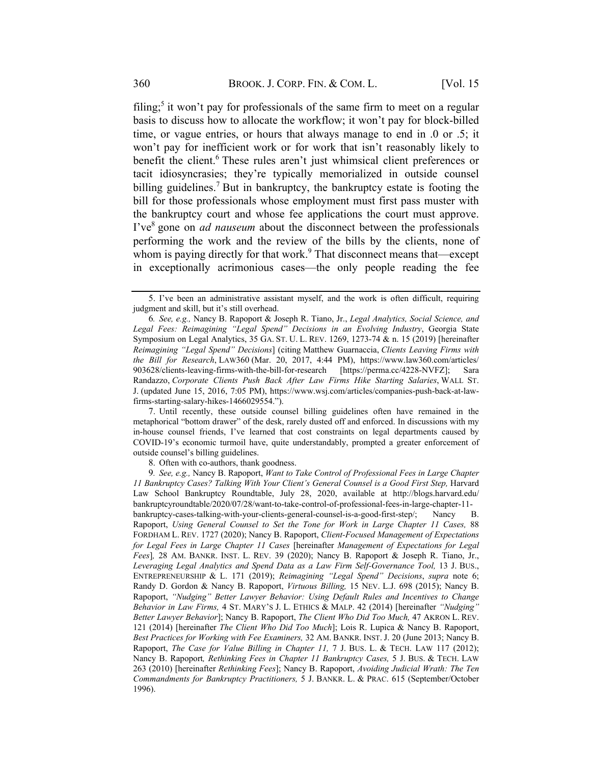filing;<sup>5</sup> it won't pay for professionals of the same firm to meet on a regular basis to discuss how to allocate the workflow; it won't pay for block-billed time, or vague entries, or hours that always manage to end in .0 or .5; it won't pay for inefficient work or for work that isn't reasonably likely to benefit the client.<sup>6</sup> These rules aren't just whimsical client preferences or tacit idiosyncrasies; they're typically memorialized in outside counsel billing guidelines.<sup>7</sup> But in bankruptcy, the bankruptcy estate is footing the bill for those professionals whose employment must first pass muster with the bankruptcy court and whose fee applications the court must approve. I've<sup>8</sup> gone on *ad nauseum* about the disconnect between the professionals performing the work and the review of the bills by the clients, none of whom is paying directly for that work.<sup>9</sup> That disconnect means that—except in exceptionally acrimonious cases—the only people reading the fee

7. Until recently, these outside counsel billing guidelines often have remained in the metaphorical "bottom drawer" of the desk, rarely dusted off and enforced. In discussions with my in-house counsel friends, I've learned that cost constraints on legal departments caused by COVID-19's economic turmoil have, quite understandably, prompted a greater enforcement of outside counsel's billing guidelines.

8. Often with co-authors, thank goodness.

9. See, e.g., Nancy B. Rapoport, Want to Take Control of Professional Fees in Large Chapter 11 Bankruptcy Cases? Talking With Your Client's General Counsel is a Good First Step, Harvard Law School Bankruptcy Roundtable, July 28, 2020, available at http://blogs.harvard.edu/ bankruptcyroundtable/2020/07/28/want-to-take-control-of-professional-fees-in-large-chapter-11 bankruptcy-cases-talking-with-your-clients-general-counsel-is-a-good-first-step/; Nancy B. Rapoport, Using General Counsel to Set the Tone for Work in Large Chapter 11 Cases, 88 FORDHAM L. REV. 1727 (2020); Nancy B. Rapoport, Client-Focused Management of Expectations for Legal Fees in Large Chapter 11 Cases [hereinafter Management of Expectations for Legal Fees], 28 AM. BANKR. INST. L. REV. 39 (2020); Nancy B. Rapoport & Joseph R. Tiano, Jr., Leveraging Legal Analytics and Spend Data as a Law Firm Self-Governance Tool, 13 J. BUS., ENTREPRENEURSHIP & L. 171 (2019); Reimagining "Legal Spend" Decisions, supra note 6; Randy D. Gordon & Nancy B. Rapoport, Virtuous Billing, 15 NEV. L.J. 698 (2015); Nancy B. Rapoport, "Nudging" Better Lawyer Behavior: Using Default Rules and Incentives to Change Behavior in Law Firms, 4 ST. MARY'S J. L. ETHICS & MALP. 42 (2014) [hereinafter "Nudging" Better Lawyer Behavior]; Nancy B. Rapoport, The Client Who Did Too Much, 47 AKRON L. REV. 121 (2014) [hereinafter The Client Who Did Too Much]; Lois R. Lupica & Nancy B. Rapoport, Best Practices for Working with Fee Examiners, 32 AM. BANKR. INST. J. 20 (June 2013; Nancy B. Rapoport, The Case for Value Billing in Chapter 11, 7 J. BUS. L. & TECH. LAW 117 (2012); Nancy B. Rapoport, Rethinking Fees in Chapter 11 Bankruptcy Cases, 5 J. BUS. & TECH. LAW 263 (2010) [hereinafter Rethinking Fees]; Nancy B. Rapoport, Avoiding Judicial Wrath: The Ten Commandments for Bankruptcy Practitioners, 5 J. BANKR. L. & PRAC. 615 (September/October 1996).

<sup>5.</sup> I've been an administrative assistant myself, and the work is often difficult, requiring judgment and skill, but it's still overhead.

<sup>6</sup>. See, e.g., Nancy B. Rapoport & Joseph R. Tiano, Jr., Legal Analytics, Social Science, and Legal Fees: Reimagining "Legal Spend" Decisions in an Evolving Industry, Georgia State Symposium on Legal Analytics, 35 GA. ST. U. L. REV. 1269, 1273-74 & n. 15 (2019) [hereinafter Reimagining "Legal Spend" Decisions] (citing Matthew Guarnaccia, Clients Leaving Firms with the Bill for Research, LAW360 (Mar. 20, 2017, 4:44 PM), https://www.law360.com/articles/ 903628/clients-leaving-firms-with-the-bill-for-research [https://perma.cc/4228-NVFZ]; Sara Randazzo, Corporate Clients Push Back After Law Firms Hike Starting Salaries, WALL ST. J. (updated June 15, 2016, 7:05 PM), https://www.wsj.com/articles/companies-push-back-at-lawfirms-starting-salary-hikes-1466029554.").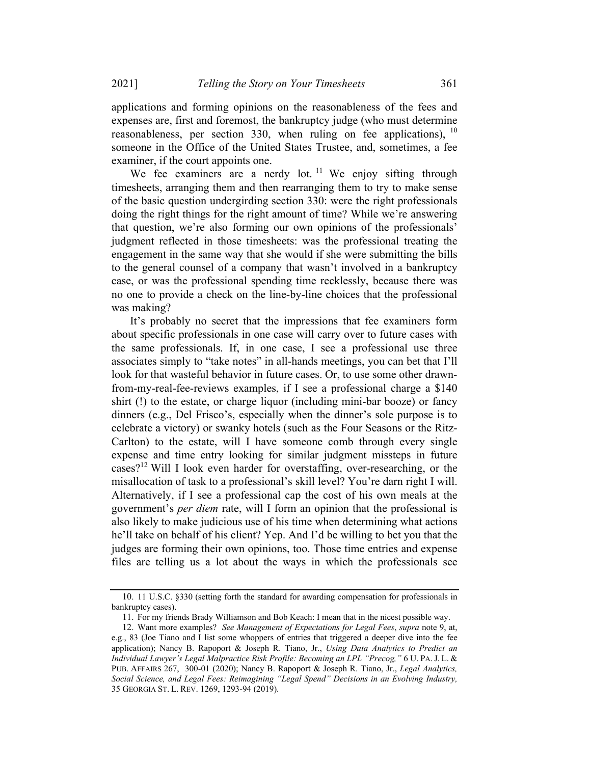applications and forming opinions on the reasonableness of the fees and expenses are, first and foremost, the bankruptcy judge (who must determine reasonableness, per section 330, when ruling on fee applications),  $10$ someone in the Office of the United States Trustee, and, sometimes, a fee examiner, if the court appoints one.

We fee examiners are a nerdy lot.<sup>11</sup> We enjoy sifting through timesheets, arranging them and then rearranging them to try to make sense of the basic question undergirding section 330: were the right professionals doing the right things for the right amount of time? While we're answering that question, we're also forming our own opinions of the professionals' judgment reflected in those timesheets: was the professional treating the engagement in the same way that she would if she were submitting the bills to the general counsel of a company that wasn't involved in a bankruptcy case, or was the professional spending time recklessly, because there was no one to provide a check on the line-by-line choices that the professional was making?

It's probably no secret that the impressions that fee examiners form about specific professionals in one case will carry over to future cases with the same professionals. If, in one case, I see a professional use three associates simply to "take notes" in all-hands meetings, you can bet that I'll look for that wasteful behavior in future cases. Or, to use some other drawnfrom-my-real-fee-reviews examples, if I see a professional charge a \$140 shirt (!) to the estate, or charge liquor (including mini-bar booze) or fancy dinners (e.g., Del Frisco's, especially when the dinner's sole purpose is to celebrate a victory) or swanky hotels (such as the Four Seasons or the Ritz-Carlton) to the estate, will I have someone comb through every single expense and time entry looking for similar judgment missteps in future cases?<sup>12</sup> Will I look even harder for overstaffing, over-researching, or the misallocation of task to a professional's skill level? You're darn right I will. Alternatively, if I see a professional cap the cost of his own meals at the government's per diem rate, will I form an opinion that the professional is also likely to make judicious use of his time when determining what actions he'll take on behalf of his client? Yep. And I'd be willing to bet you that the judges are forming their own opinions, too. Those time entries and expense files are telling us a lot about the ways in which the professionals see

<sup>10.</sup> 11 U.S.C. §330 (setting forth the standard for awarding compensation for professionals in bankruptcy cases).

<sup>11.</sup> For my friends Brady Williamson and Bob Keach: I mean that in the nicest possible way.

<sup>12.</sup> Want more examples? See Management of Expectations for Legal Fees, supra note 9, at, e.g., 83 (Joe Tiano and I list some whoppers of entries that triggered a deeper dive into the fee application); Nancy B. Rapoport & Joseph R. Tiano, Jr., Using Data Analytics to Predict an Individual Lawyer's Legal Malpractice Risk Profile: Becoming an LPL "Precog," 6 U. PA.J. L. & PUB. AFFAIRS 267, 300-01 (2020); Nancy B. Rapoport & Joseph R. Tiano, Jr., Legal Analytics, Social Science, and Legal Fees: Reimagining "Legal Spend" Decisions in an Evolving Industry, 35 GEORGIA ST. L. REV. 1269, 1293-94 (2019).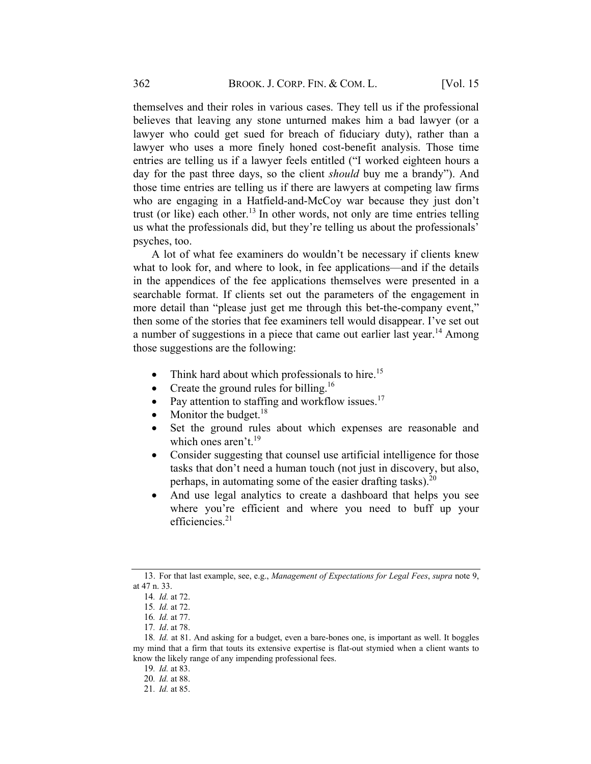themselves and their roles in various cases. They tell us if the professional believes that leaving any stone unturned makes him a bad lawyer (or a lawyer who could get sued for breach of fiduciary duty), rather than a lawyer who uses a more finely honed cost-benefit analysis. Those time entries are telling us if a lawyer feels entitled ("I worked eighteen hours a day for the past three days, so the client should buy me a brandy"). And those time entries are telling us if there are lawyers at competing law firms who are engaging in a Hatfield-and-McCoy war because they just don't trust (or like) each other.<sup>13</sup> In other words, not only are time entries telling us what the professionals did, but they're telling us about the professionals' psyches, too.

A lot of what fee examiners do wouldn't be necessary if clients knew what to look for, and where to look, in fee applications—and if the details in the appendices of the fee applications themselves were presented in a searchable format. If clients set out the parameters of the engagement in more detail than "please just get me through this bet-the-company event," then some of the stories that fee examiners tell would disappear. I've set out a number of suggestions in a piece that came out earlier last year.<sup>14</sup> Among those suggestions are the following:

- Think hard about which professionals to hire.<sup>15</sup>
- Create the ground rules for billing.<sup>16</sup>
- Pay attention to staffing and workflow issues.<sup>17</sup>
- Monitor the budget. $^{18}$
- Set the ground rules about which expenses are reasonable and which ones aren't.<sup>19</sup>
- Consider suggesting that counsel use artificial intelligence for those tasks that don't need a human touch (not just in discovery, but also, perhaps, in automating some of the easier drafting tasks). $^{20}$
- And use legal analytics to create a dashboard that helps you see where you're efficient and where you need to buff up your efficiencies.<sup>21</sup>

<sup>13.</sup> For that last example, see, e.g., Management of Expectations for Legal Fees, supra note 9, at 47 n. 33.

<sup>14</sup>. Id. at 72.

<sup>15</sup>. Id. at 72.

<sup>16</sup>. Id. at 77.

<sup>17</sup>. Id. at 78.

<sup>18</sup>. Id. at 81. And asking for a budget, even a bare-bones one, is important as well. It boggles my mind that a firm that touts its extensive expertise is flat-out stymied when a client wants to know the likely range of any impending professional fees.

<sup>19</sup>. Id. at 83.

<sup>20</sup>. Id. at 88.

<sup>21</sup>. Id. at 85.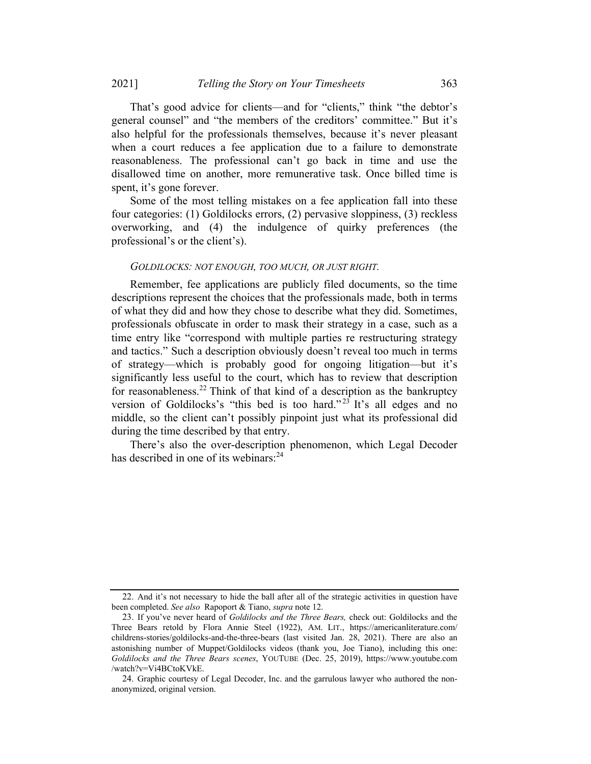That's good advice for clients—and for "clients," think "the debtor's general counsel" and "the members of the creditors' committee." But it's also helpful for the professionals themselves, because it's never pleasant when a court reduces a fee application due to a failure to demonstrate reasonableness. The professional can't go back in time and use the disallowed time on another, more remunerative task. Once billed time is spent, it's gone forever.

Some of the most telling mistakes on a fee application fall into these four categories: (1) Goldilocks errors, (2) pervasive sloppiness, (3) reckless overworking, and (4) the indulgence of quirky preferences (the professional's or the client's).

#### GOLDILOCKS: NOT ENOUGH, TOO MUCH, OR JUST RIGHT.

Remember, fee applications are publicly filed documents, so the time descriptions represent the choices that the professionals made, both in terms of what they did and how they chose to describe what they did. Sometimes, professionals obfuscate in order to mask their strategy in a case, such as a time entry like "correspond with multiple parties re restructuring strategy and tactics." Such a description obviously doesn't reveal too much in terms of strategy—which is probably good for ongoing litigation—but it's significantly less useful to the court, which has to review that description for reasonableness.<sup>22</sup> Think of that kind of a description as the bankruptcy version of Goldilocks's "this bed is too hard."<sup>23</sup> It's all edges and no middle, so the client can't possibly pinpoint just what its professional did during the time described by that entry.

There's also the over-description phenomenon, which Legal Decoder has described in one of its webinars: $^{24}$ 

<sup>22.</sup> And it's not necessary to hide the ball after all of the strategic activities in question have been completed. See also Rapoport & Tiano, supra note 12.

<sup>23.</sup> If you've never heard of Goldilocks and the Three Bears, check out: Goldilocks and the Three Bears retold by Flora Annie Steel (1922), AM. LIT., https://americanliterature.com/ childrens-stories/goldilocks-and-the-three-bears (last visited Jan. 28, 2021). There are also an astonishing number of Muppet/Goldilocks videos (thank you, Joe Tiano), including this one: Goldilocks and the Three Bears scenes, YOUTUBE (Dec. 25, 2019), https://www.youtube.com /watch?v=Vi4BCtoKVkE.

<sup>24.</sup> Graphic courtesy of Legal Decoder, Inc. and the garrulous lawyer who authored the nonanonymized, original version.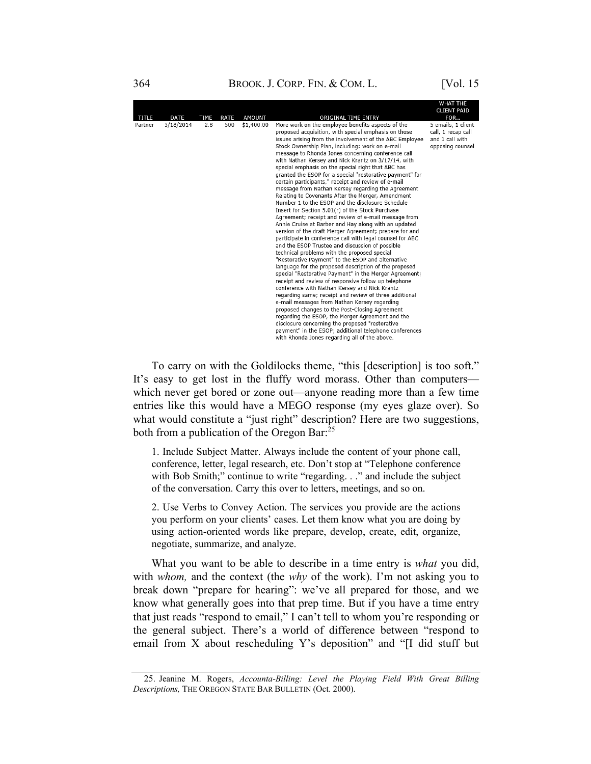364 **BROOK. J. CORP. FIN. & COM. L.** [Vol. 15

|              |             |             |             |               |                                                                                                                                                                                                                                                                                                                                                                                                                                                                                                                                                                                                                                                                                                                                                                                                                                                                                                                                                                                                                                                                                                                                                                                                                                                                                                                                                                                                                                                                                                                                                                                                                                                                                                                                           | <b>WHAIIHE</b><br><b>CLIENT PAID</b>                                            |
|--------------|-------------|-------------|-------------|---------------|-------------------------------------------------------------------------------------------------------------------------------------------------------------------------------------------------------------------------------------------------------------------------------------------------------------------------------------------------------------------------------------------------------------------------------------------------------------------------------------------------------------------------------------------------------------------------------------------------------------------------------------------------------------------------------------------------------------------------------------------------------------------------------------------------------------------------------------------------------------------------------------------------------------------------------------------------------------------------------------------------------------------------------------------------------------------------------------------------------------------------------------------------------------------------------------------------------------------------------------------------------------------------------------------------------------------------------------------------------------------------------------------------------------------------------------------------------------------------------------------------------------------------------------------------------------------------------------------------------------------------------------------------------------------------------------------------------------------------------------------|---------------------------------------------------------------------------------|
| <b>TITLE</b> | <b>DATE</b> | <b>TIME</b> | <b>RATE</b> | <b>AMOUNT</b> | ORIGINAL TIME ENTRY                                                                                                                                                                                                                                                                                                                                                                                                                                                                                                                                                                                                                                                                                                                                                                                                                                                                                                                                                                                                                                                                                                                                                                                                                                                                                                                                                                                                                                                                                                                                                                                                                                                                                                                       | FOR                                                                             |
| Partner      | 3/18/2014   | 2.8         | 500         | \$1,400.00    | More work on the employee benefits aspects of the<br>proposed acquisition, with special emphasis on those<br>issues arising from the involvement of the ABC Employee<br>Stock Ownership Plan, including: work on e-mail<br>message to Rhonda Jones concerning conference call<br>with Nathan Kersey and Nick Krantz on 3/17/14, with<br>special emphasis on the special right that ABC has<br>granted the ESOP for a special "restorative payment" for<br>certain participants," receipt and review of e-mail<br>message from Nathan Kersey regarding the Agreement<br>Relating to Covenants After the Merger, Amendment<br>Number 1 to the ESOP and the disclosure Schedule<br>Insert for Section 5.01(r) of the Stock Purchase<br>Agreement; receipt and review of e-mail message from<br>Annie Cruise at Barber and Hay along with an updated<br>version of the draft Merger Agreement; prepare for and<br>participate in conference call with legal counsel for ABC<br>and the ESOP Trustee and discussion of possible<br>technical problems with the proposed special<br>"Restorative Payment" to the ESOP and alternative<br>language for the proposed description of the proposed<br>special "Restorative Payment" in the Merger Agreement;<br>receipt and review of responsive follow up telephone<br>conference with Nathan Kersey and Nick Krantz<br>regarding same; receipt and review of three additional<br>e-mail messages from Nathan Kersey regarding<br>proposed changes to the Post-Closing Agreement<br>regarding the ESOP, the Merger Agreement and the<br>disclosure concerning the proposed "restorative<br>payment" in the ESOP; additional telephone conferences<br>with Rhonda Jones regarding all of the above. | 5 emails, 1 client<br>call, 1 recap call<br>and 1 call with<br>opposing counsel |

To carry on with the Goldilocks theme, "this [description] is too soft." It's easy to get lost in the fluffy word morass. Other than computers which never get bored or zone out—anyone reading more than a few time entries like this would have a MEGO response (my eyes glaze over). So what would constitute a "just right" description? Here are two suggestions, both from a publication of the Oregon Bar: $^{25}$ 

1. Include Subject Matter. Always include the content of your phone call, conference, letter, legal research, etc. Don't stop at "Telephone conference with Bob Smith;" continue to write "regarding. . ." and include the subject of the conversation. Carry this over to letters, meetings, and so on.

2. Use Verbs to Convey Action. The services you provide are the actions you perform on your clients' cases. Let them know what you are doing by using action-oriented words like prepare, develop, create, edit, organize, negotiate, summarize, and analyze.

What you want to be able to describe in a time entry is *what* you did, with *whom*, and the context (the *why* of the work). I'm not asking you to break down "prepare for hearing": we've all prepared for those, and we know what generally goes into that prep time. But if you have a time entry that just reads "respond to email," I can't tell to whom you're responding or the general subject. There's a world of difference between "respond to email from X about rescheduling Y's deposition" and "[I did stuff but

<sup>25.</sup> Jeanine M. Rogers, Accounta-Billing: Level the Playing Field With Great Billing Descriptions, THE OREGON STATE BAR BULLETIN (Oct. 2000).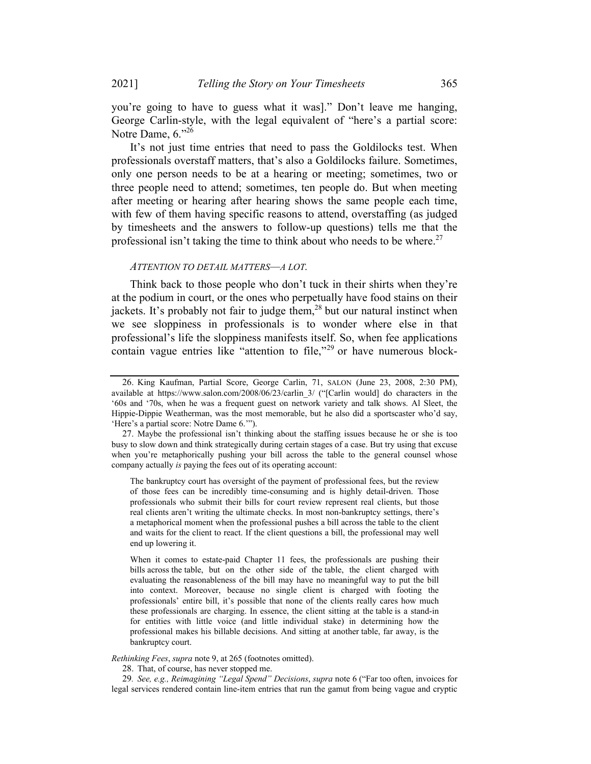you're going to have to guess what it was]." Don't leave me hanging, George Carlin-style, with the legal equivalent of "here's a partial score: Notre Dame,  $6.^{926}$ 

It's not just time entries that need to pass the Goldilocks test. When professionals overstaff matters, that's also a Goldilocks failure. Sometimes, only one person needs to be at a hearing or meeting; sometimes, two or three people need to attend; sometimes, ten people do. But when meeting after meeting or hearing after hearing shows the same people each time, with few of them having specific reasons to attend, overstaffing (as judged by timesheets and the answers to follow-up questions) tells me that the professional isn't taking the time to think about who needs to be where.<sup>27</sup>

#### ATTENTION TO DETAIL MATTERS—A LOT.

Think back to those people who don't tuck in their shirts when they're at the podium in court, or the ones who perpetually have food stains on their jackets. It's probably not fair to judge them,<sup>28</sup> but our natural instinct when we see sloppiness in professionals is to wonder where else in that professional's life the sloppiness manifests itself. So, when fee applications contain vague entries like "attention to file,"<sup>29</sup> or have numerous block-

The bankruptcy court has oversight of the payment of professional fees, but the review of those fees can be incredibly time-consuming and is highly detail-driven. Those professionals who submit their bills for court review represent real clients, but those real clients aren't writing the ultimate checks. In most non-bankruptcy settings, there's a metaphorical moment when the professional pushes a bill across the table to the client and waits for the client to react. If the client questions a bill, the professional may well end up lowering it.

When it comes to estate-paid Chapter 11 fees, the professionals are pushing their bills across the table, but on the other side of the table, the client charged with evaluating the reasonableness of the bill may have no meaningful way to put the bill into context. Moreover, because no single client is charged with footing the professionals' entire bill, it's possible that none of the clients really cares how much these professionals are charging. In essence, the client sitting at the table is a stand-in for entities with little voice (and little individual stake) in determining how the professional makes his billable decisions. And sitting at another table, far away, is the bankruptcy court.

#### Rethinking Fees, supra note 9, at 265 (footnotes omitted).

28. That, of course, has never stopped me.

29. See, e.g., Reimagining "Legal Spend" Decisions, supra note 6 ("Far too often, invoices for legal services rendered contain line-item entries that run the gamut from being vague and cryptic

<sup>26.</sup> King Kaufman, Partial Score, George Carlin, 71, SALON (June 23, 2008, 2:30 PM), available at https://www.salon.com/2008/06/23/carlin\_3/ ("[Carlin would] do characters in the '60s and '70s, when he was a frequent guest on network variety and talk shows. Al Sleet, the Hippie-Dippie Weatherman, was the most memorable, but he also did a sportscaster who'd say, 'Here's a partial score: Notre Dame 6.'").

<sup>27.</sup> Maybe the professional isn't thinking about the staffing issues because he or she is too busy to slow down and think strategically during certain stages of a case. But try using that excuse when you're metaphorically pushing your bill across the table to the general counsel whose company actually is paying the fees out of its operating account: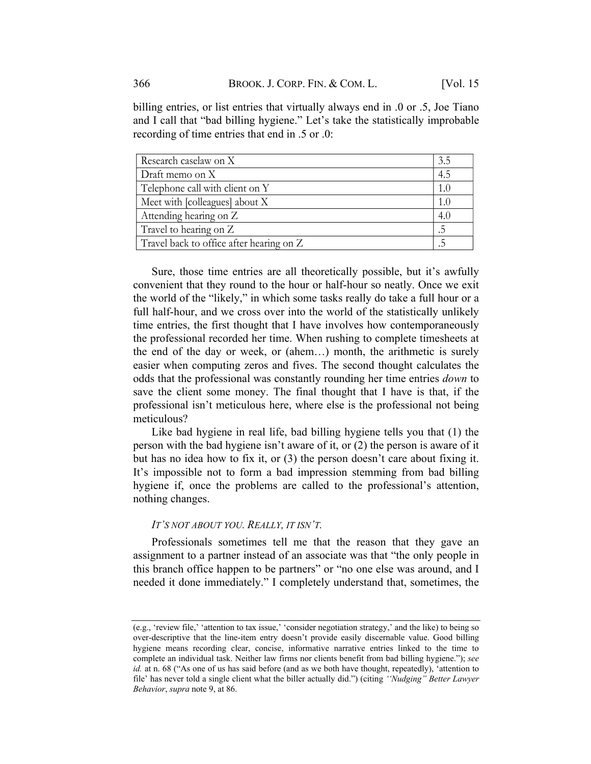billing entries, or list entries that virtually always end in .0 or .5, Joe Tiano and I call that "bad billing hygiene." Let's take the statistically improbable recording of time entries that end in .5 or .0:

| Research caselaw on X                    | 3.5 |
|------------------------------------------|-----|
| Draft memo on X                          | 4.5 |
| Telephone call with client on Y          | 1.0 |
| Meet with [colleagues] about X           | 1.0 |
| Attending hearing on Z                   | 4.0 |
| Travel to hearing on Z                   | .5  |
| Travel back to office after hearing on Z |     |

Sure, those time entries are all theoretically possible, but it's awfully convenient that they round to the hour or half-hour so neatly. Once we exit the world of the "likely," in which some tasks really do take a full hour or a full half-hour, and we cross over into the world of the statistically unlikely time entries, the first thought that I have involves how contemporaneously the professional recorded her time. When rushing to complete timesheets at the end of the day or week, or (ahem…) month, the arithmetic is surely easier when computing zeros and fives. The second thought calculates the odds that the professional was constantly rounding her time entries down to save the client some money. The final thought that I have is that, if the professional isn't meticulous here, where else is the professional not being meticulous?

Like bad hygiene in real life, bad billing hygiene tells you that (1) the person with the bad hygiene isn't aware of it, or (2) the person is aware of it but has no idea how to fix it, or (3) the person doesn't care about fixing it. It's impossible not to form a bad impression stemming from bad billing hygiene if, once the problems are called to the professional's attention, nothing changes.

### IT'S NOT ABOUT YOU. REALLY, IT ISN'T.

Professionals sometimes tell me that the reason that they gave an assignment to a partner instead of an associate was that "the only people in this branch office happen to be partners" or "no one else was around, and I needed it done immediately." I completely understand that, sometimes, the

<sup>(</sup>e.g., 'review file,' 'attention to tax issue,' 'consider negotiation strategy,' and the like) to being so over-descriptive that the line-item entry doesn't provide easily discernable value. Good billing hygiene means recording clear, concise, informative narrative entries linked to the time to complete an individual task. Neither law firms nor clients benefit from bad billing hygiene."); see id. at n. 68 ("As one of us has said before (and as we both have thought, repeatedly), 'attention to file' has never told a single client what the biller actually did.") (citing 'Nudging" Better Lawyer Behavior, supra note 9, at 86.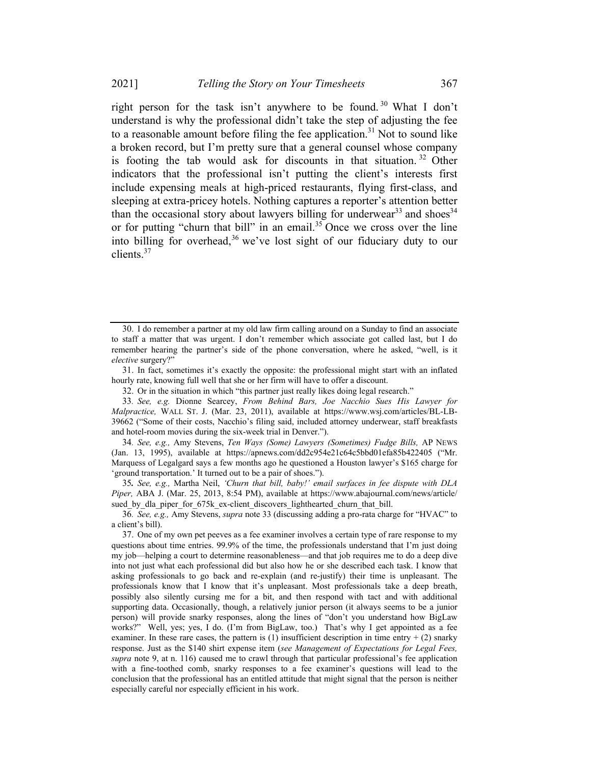right person for the task isn't anywhere to be found.<sup>30</sup> What I don't understand is why the professional didn't take the step of adjusting the fee to a reasonable amount before filing the fee application.<sup>31</sup> Not to sound like a broken record, but I'm pretty sure that a general counsel whose company is footing the tab would ask for discounts in that situation.<sup>32</sup> Other indicators that the professional isn't putting the client's interests first include expensing meals at high-priced restaurants, flying first-class, and sleeping at extra-pricey hotels. Nothing captures a reporter's attention better than the occasional story about lawyers billing for underwear<sup>33</sup> and shoes<sup>34</sup> or for putting "churn that bill" in an email.<sup>35</sup> Once we cross over the line into billing for overhead,  $36$  we've lost sight of our fiduciary duty to our clients.<sup>37</sup>

34. See, e.g., Amy Stevens, Ten Ways (Some) Lawyers (Sometimes) Fudge Bills, AP NEWS (Jan. 13, 1995), available at https://apnews.com/dd2c954e21c64c5bbd01efa85b422405 ("Mr. Marquess of Legalgard says a few months ago he questioned a Houston lawyer's \$165 charge for 'ground transportation.' It turned out to be a pair of shoes.").

35. See, e.g., Martha Neil, 'Churn that bill, baby!' email surfaces in fee dispute with DLA Piper, ABA J. (Mar. 25, 2013, 8:54 PM), available at https://www.abajournal.com/news/article/ sued by dla piper for 675k ex-client discovers lighthearted churn that bill.

<sup>30.</sup> I do remember a partner at my old law firm calling around on a Sunday to find an associate to staff a matter that was urgent. I don't remember which associate got called last, but I do remember hearing the partner's side of the phone conversation, where he asked, "well, is it elective surgery?"

<sup>31.</sup> In fact, sometimes it's exactly the opposite: the professional might start with an inflated hourly rate, knowing full well that she or her firm will have to offer a discount.

<sup>32.</sup> Or in the situation in which "this partner just really likes doing legal research."

<sup>33</sup>. See, e.g. Dionne Searcey, From Behind Bars, Joe Nacchio Sues His Lawyer for Malpractice, WALL ST. J. (Mar. 23, 2011), available at https://www.wsj.com/articles/BL-LB-39662 ("Some of their costs, Nacchio's filing said, included attorney underwear, staff breakfasts and hotel-room movies during the six-week trial in Denver.").

<sup>36</sup>. See, e.g., Amy Stevens, supra note 33 (discussing adding a pro-rata charge for "HVAC" to a client's bill).

<sup>37.</sup> One of my own pet peeves as a fee examiner involves a certain type of rare response to my questions about time entries. 99.9% of the time, the professionals understand that I'm just doing my job—helping a court to determine reasonableness—and that job requires me to do a deep dive into not just what each professional did but also how he or she described each task. I know that asking professionals to go back and re-explain (and re-justify) their time is unpleasant. The professionals know that I know that it's unpleasant. Most professionals take a deep breath, possibly also silently cursing me for a bit, and then respond with tact and with additional supporting data. Occasionally, though, a relatively junior person (it always seems to be a junior person) will provide snarky responses, along the lines of "don't you understand how BigLaw works?" Well, yes; yes, I do. (I'm from BigLaw, too.) That's why I get appointed as a fee examiner. In these rare cases, the pattern is  $(1)$  insufficient description in time entry  $+(2)$  snarky response. Just as the \$140 shirt expense item (see Management of Expectations for Legal Fees, supra note 9, at n. 116) caused me to crawl through that particular professional's fee application with a fine-toothed comb, snarky responses to a fee examiner's questions will lead to the conclusion that the professional has an entitled attitude that might signal that the person is neither especially careful nor especially efficient in his work.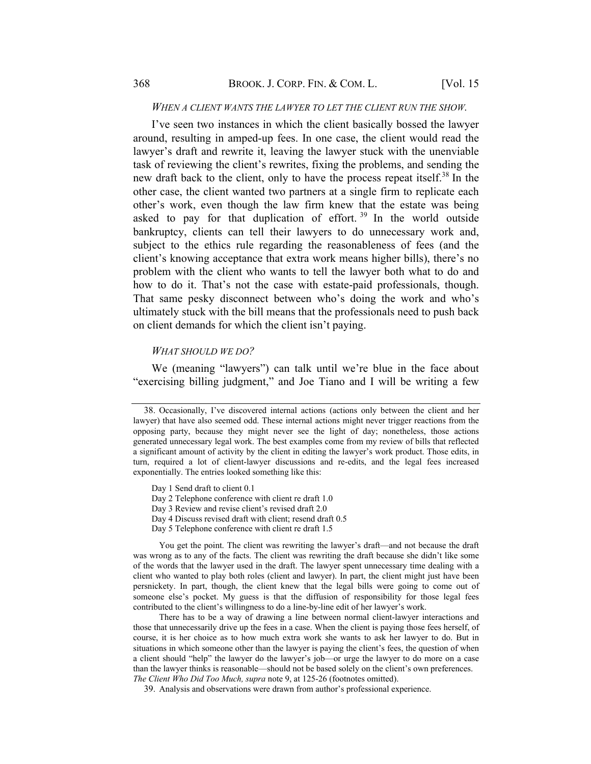#### WHEN A CLIENT WANTS THE LAWYER TO LET THE CLIENT RUN THE SHOW.

I've seen two instances in which the client basically bossed the lawyer around, resulting in amped-up fees. In one case, the client would read the lawyer's draft and rewrite it, leaving the lawyer stuck with the unenviable task of reviewing the client's rewrites, fixing the problems, and sending the new draft back to the client, only to have the process repeat itself.<sup>38</sup> In the other case, the client wanted two partners at a single firm to replicate each other's work, even though the law firm knew that the estate was being asked to pay for that duplication of effort.<sup>39</sup> In the world outside bankruptcy, clients can tell their lawyers to do unnecessary work and, subject to the ethics rule regarding the reasonableness of fees (and the client's knowing acceptance that extra work means higher bills), there's no problem with the client who wants to tell the lawyer both what to do and how to do it. That's not the case with estate-paid professionals, though. That same pesky disconnect between who's doing the work and who's ultimately stuck with the bill means that the professionals need to push back on client demands for which the client isn't paying.

#### WHAT SHOULD WE DO?

We (meaning "lawyers") can talk until we're blue in the face about "exercising billing judgment," and Joe Tiano and I will be writing a few

- Day 4 Discuss revised draft with client; resend draft 0.5
- Day 5 Telephone conference with client re draft 1.5

You get the point. The client was rewriting the lawyer's draft—and not because the draft was wrong as to any of the facts. The client was rewriting the draft because she didn't like some of the words that the lawyer used in the draft. The lawyer spent unnecessary time dealing with a client who wanted to play both roles (client and lawyer). In part, the client might just have been persnickety. In part, though, the client knew that the legal bills were going to come out of someone else's pocket. My guess is that the diffusion of responsibility for those legal fees contributed to the client's willingness to do a line-by-line edit of her lawyer's work.

There has to be a way of drawing a line between normal client-lawyer interactions and those that unnecessarily drive up the fees in a case. When the client is paying those fees herself, of course, it is her choice as to how much extra work she wants to ask her lawyer to do. But in situations in which someone other than the lawyer is paying the client's fees, the question of when a client should "help" the lawyer do the lawyer's job—or urge the lawyer to do more on a case than the lawyer thinks is reasonable—should not be based solely on the client's own preferences. The Client Who Did Too Much, supra note 9, at 125-26 (footnotes omitted).

39. Analysis and observations were drawn from author's professional experience.

<sup>38.</sup> Occasionally, I've discovered internal actions (actions only between the client and her lawyer) that have also seemed odd. These internal actions might never trigger reactions from the opposing party, because they might never see the light of day; nonetheless, those actions generated unnecessary legal work. The best examples come from my review of bills that reflected a significant amount of activity by the client in editing the lawyer's work product. Those edits, in turn, required a lot of client-lawyer discussions and re-edits, and the legal fees increased exponentially. The entries looked something like this:

Day 1 Send draft to client 0.1

Day 2 Telephone conference with client re draft 1.0

Day 3 Review and revise client's revised draft 2.0